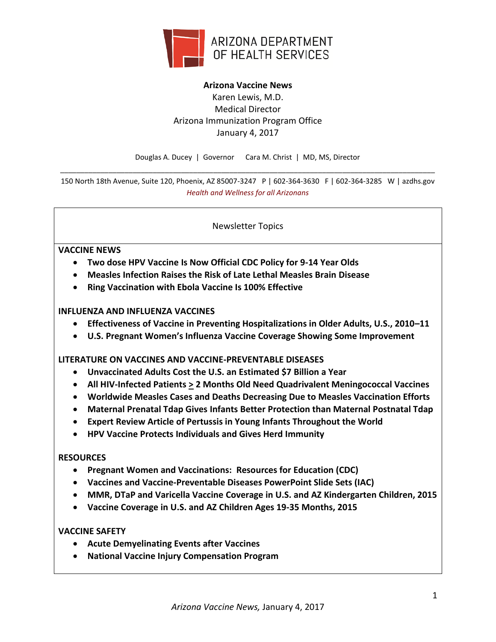

# **Arizona Vaccine News** Karen Lewis, M.D. Medical Director Arizona Immunization Program Office January 4, 2017

Douglas A. Ducey | Governor Cara M. Christ | MD, MS, Director \_\_\_\_\_\_\_\_\_\_\_\_\_\_\_\_\_\_\_\_\_\_\_\_\_\_\_\_\_\_\_\_\_\_\_\_\_\_\_\_\_\_\_\_\_\_\_\_\_\_\_\_\_\_\_\_\_\_\_\_\_\_\_\_\_\_\_\_\_\_\_\_\_\_\_\_\_\_\_\_\_\_\_\_\_\_\_\_\_\_\_\_\_

150 North 18th Avenue, Suite 120, Phoenix, AZ 85007-3247 P | 602-364-3630 F | 602-364-3285 W | azdhs.gov *Health and Wellness for all Arizonans*

Newsletter Topics

### **VACCINE NEWS**

- **Two dose HPV Vaccine Is Now Official CDC Policy for 9-14 Year Olds**
- **Measles Infection Raises the Risk of Late Lethal Measles Brain Disease**
- **Ring Vaccination with Ebola Vaccine Is 100% Effective**

#### **INFLUENZA AND INFLUENZA VACCINES**

- **Effectiveness of Vaccine in Preventing Hospitalizations in Older Adults, U.S., 2010–11**
- **U.S. Pregnant Women's Influenza Vaccine Coverage Showing Some Improvement**

### **LITERATURE ON VACCINES AND VACCINE-PREVENTABLE DISEASES**

- **Unvaccinated Adults Cost the U.S. an Estimated \$7 Billion a Year**
- **All HIV-Infected Patients > 2 Months Old Need Quadrivalent Meningococcal Vaccines**
- **Worldwide Measles Cases and Deaths Decreasing Due to Measles Vaccination Efforts**
- **Maternal Prenatal Tdap Gives Infants Better Protection than Maternal Postnatal Tdap**
- **Expert Review Article of Pertussis in Young Infants Throughout the World**
- **HPV Vaccine Protects Individuals and Gives Herd Immunity**

#### **RESOURCES**

- **Pregnant Women and Vaccinations: Resources for Education (CDC)**
- **Vaccines and Vaccine-Preventable Diseases PowerPoint Slide Sets (IAC)**
- **MMR, DTaP and Varicella Vaccine Coverage in U.S. and AZ Kindergarten Children, 2015**
- **Vaccine Coverage in U.S. and AZ Children Ages 19-35 Months, 2015**

### **VACCINE SAFETY**

- **Acute Demyelinating Events after Vaccines**
- **National Vaccine Injury Compensation Program**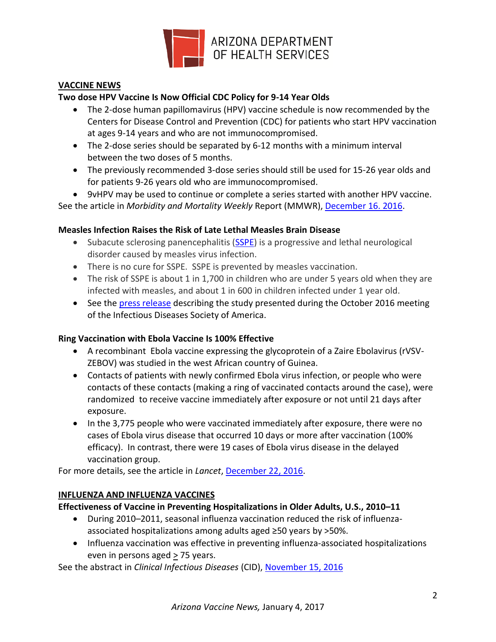

### **VACCINE NEWS**

### **Two dose HPV Vaccine Is Now Official CDC Policy for 9-14 Year Olds**

- The 2-dose human papillomavirus (HPV) vaccine schedule is now recommended by the Centers for Disease Control and Prevention (CDC) for patients who start HPV vaccination at ages 9-14 years and who are not immunocompromised.
- The 2-dose series should be separated by 6-12 months with a minimum interval between the two doses of 5 months.
- The previously recommended 3-dose series should still be used for 15-26 year olds and for patients 9-26 years old who are immunocompromised.
- 9vHPV may be used to continue or complete a series started with another HPV vaccine.

See the article in *Morbidity and Mortality Weekly* Report (MMWR), [December 16. 2016.](https://www.cdc.gov/mmwr/volumes/65/wr/pdfs/mm6549a5.pdf)

### **Measles Infection Raises the Risk of Late Lethal Measles Brain Disease**

- Subacute sclerosing panencephalitis [\(SSPE\)](http://www.ninds.nih.gov/disorders/subacute_panencephalitis/subacute_panencephalitis.htm) is a progressive and lethal neurological disorder caused by measles virus infection.
- There is no cure for SSPE. SSPE is prevented by measles vaccination.
- The risk of SSPE is about 1 in 1,700 in children who are under 5 years old when they are infected with measles, and about 1 in 600 in children infected under 1 year old.
- See the [press release](https://www.eurekalert.org/pub_releases/2016-10/idso-amc102516.php) describing the study presented during the October 2016 meeting of the Infectious Diseases Society of America.

### **Ring Vaccination with Ebola Vaccine Is 100% Effective**

- A recombinant Ebola vaccine expressing the glycoprotein of a Zaire Ebolavirus (rVSV-ZEBOV) was studied in the west African country of Guinea.
- Contacts of patients with newly confirmed Ebola virus infection, or people who were contacts of these contacts (making a ring of vaccinated contacts around the case), were randomized to receive vaccine immediately after exposure or not until 21 days after exposure.
- In the 3,775 people who were vaccinated immediately after exposure, there were no cases of Ebola virus disease that occurred 10 days or more after vaccination (100% efficacy). In contrast, there were 19 cases of Ebola virus disease in the delayed vaccination group.

For more details, see the article in *Lancet*[, December 22, 2016.](http://www.thelancet.com/pdfs/journals/lancet/PIIS0140-6736(16)32621-6.pdf)

## **INFLUENZA AND INFLUENZA VACCINES**

### **Effectiveness of Vaccine in Preventing Hospitalizations in Older Adults, U.S., 2010–11**

- During 2010–2011, seasonal influenza vaccination reduced the risk of influenzaassociated hospitalizations among adults aged ≥50 years by >50%.
- Influenza vaccination was effective in preventing influenza-associated hospitalizations even in persons aged > 75 years.

See the abstract in *Clinical Infectious Diseases* (CID), [November 15, 2016](http://cid.oxfordjournals.org/content/63/10/1304.abstract?etoc)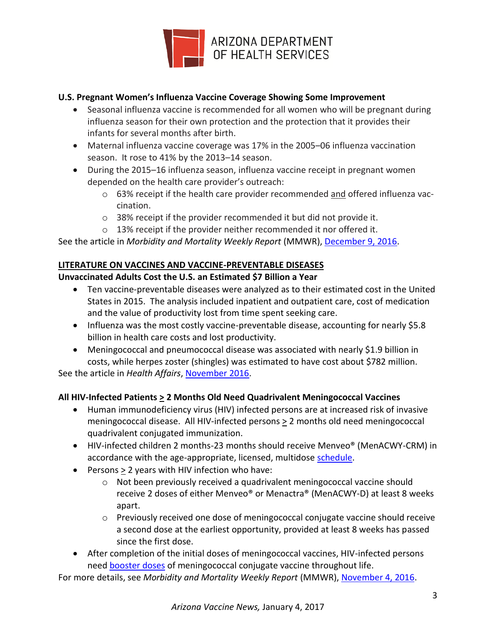

## **U.S. Pregnant Women's Influenza Vaccine Coverage Showing Some Improvement**

- Seasonal influenza vaccine is recommended for all women who will be pregnant during influenza season for their own protection and the protection that it provides their infants for several months after birth.
- Maternal influenza vaccine coverage was 17% in the 2005–06 influenza vaccination season. It rose to 41% by the 2013–14 season.
- During the 2015–16 influenza season, influenza vaccine receipt in pregnant women depended on the health care provider's outreach:
	- $\circ$  63% receipt if the health care provider recommended and offered influenza vaccination.
	- o 38% receipt if the provider recommended it but did not provide it.
	- o 13% receipt if the provider neither recommended it nor offered it.

See the article in *Morbidity and Mortality Weekly Report* (MMWR)[, December 9, 2016.](https://www.cdc.gov/mmwr/volumes/65/wr/pdfs/mm6548a3.pdf)

### **LITERATURE ON VACCINES AND VACCINE-PREVENTABLE DISEASES**

## **Unvaccinated Adults Cost the U.S. an Estimated \$7 Billion a Year**

- Ten vaccine-preventable diseases were analyzed as to their estimated cost in the United States in 2015. The analysis included inpatient and outpatient care, cost of medication and the value of productivity lost from time spent seeking care.
- Influenza was the most costly vaccine-preventable disease, accounting for nearly \$5.8 billion in health care costs and lost productivity.
- Meningococcal and pneumococcal disease was associated with nearly \$1.9 billion in costs, while herpes zoster (shingles) was estimated to have cost about \$782 million.

See the article in *Health Affairs*, [November 2016.](http://content.healthaffairs.org/content/35/11/2124.full.pdf+html)

## **All HIV-Infected Patients > 2 Months Old Need Quadrivalent Meningococcal Vaccines**

- Human immunodeficiency virus (HIV) infected persons are at increased risk of invasive meningococcal disease. All HIV-infected persons > 2 months old need meningococcal quadrivalent conjugated immunization.
- HIV-infected children 2 months-23 months should receive Menveo<sup>®</sup> (MenACWY-CRM) in accordance with the age-appropriate, licensed, multidose [schedule.](http://www.immunize.org/catg.d/p2018.pdf)
- Persons > 2 years with HIV infection who have:
	- $\circ$  Not been previously received a quadrivalent meningococcal vaccine should receive 2 doses of either Menveo® or Menactra® (MenACWY-D) at least 8 weeks apart.
	- o Previously received one dose of meningococcal conjugate vaccine should receive a second dose at the earliest opportunity, provided at least 8 weeks has passed since the first dose.
- After completion of the initial doses of meningococcal vaccines, HIV-infected persons need [booster doses](http://www.immunize.org/catg.d/p2018.pdf) of meningococcal conjugate vaccine throughout life.

For more details, see *Morbidity and Mortality Weekly Report* (MMWR), [November 4, 2016.](https://www.cdc.gov/mmwr/volumes/65/wr/pdfs/mm6543a3.pdf)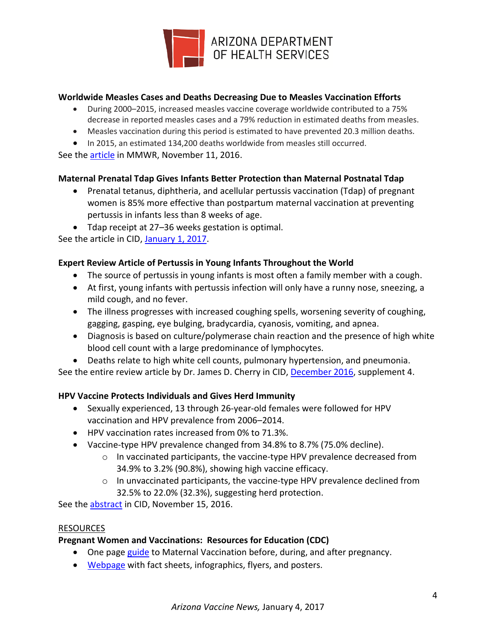

### **Worldwide Measles Cases and Deaths Decreasing Due to Measles Vaccination Efforts**

- During 2000–2015, increased measles vaccine coverage worldwide contributed to a 75% decrease in reported measles cases and a 79% reduction in estimated deaths from measles.
- Measles vaccination during this period is estimated to have prevented 20.3 million deaths.
- In 2015, an estimated 134,200 deaths worldwide from measles still occurred.

See the **article** in MMWR, November 11, 2016.

### **Maternal Prenatal Tdap Gives Infants Better Protection than Maternal Postnatal Tdap**

- Prenatal tetanus, diphtheria, and acellular pertussis vaccination (Tdap) of pregnant women is 85% more effective than postpartum maternal vaccination at preventing pertussis in infants less than 8 weeks of age.
- Tdap receipt at 27–36 weeks gestation is optimal.

See the article in CID[, January 1, 2017.](http://cid.oxfordjournals.org/content/64/1/3.full.pdf?etoc)

### **Expert Review Article of Pertussis in Young Infants Throughout the World**

- The source of pertussis in young infants is most often a family member with a cough.
- At first, young infants with pertussis infection will only have a runny nose, sneezing, a mild cough, and no fever.
- The illness progresses with increased coughing spells, worsening severity of coughing, gagging, gasping, eye bulging, bradycardia, cyanosis, vomiting, and apnea.
- Diagnosis is based on culture/polymerase chain reaction and the presence of high white blood cell count with a large predominance of lymphocytes.
- Deaths relate to high white cell counts, pulmonary hypertension, and pneumonia.

See the entire review article by Dr. James D. Cherry in CID, [December 2016,](http://cid.oxfordjournals.org/content/63/suppl_4/S119.full.pdf?etoc) supplement 4.

### **HPV Vaccine Protects Individuals and Gives Herd Immunity**

- Sexually experienced, 13 through 26-year-old females were followed for HPV vaccination and HPV prevalence from 2006–2014.
- HPV vaccination rates increased from 0% to 71.3%.
- Vaccine-type HPV prevalence changed from 34.8% to 8.7% (75.0% decline).
	- $\circ$  In vaccinated participants, the vaccine-type HPV prevalence decreased from 34.9% to 3.2% (90.8%), showing high vaccine efficacy.
	- o In unvaccinated participants, the vaccine-type HPV prevalence declined from 32.5% to 22.0% (32.3%), suggesting herd protection.

See the [abstract](http://cid.oxfordjournals.org/content/63/10/1281.abstract) in CID, [November 15, 2016.](http://cid.oxfordjournals.org/content/63/10/1281.abstract)

### RESOURCES

## **Pregnant Women and Vaccinations: Resources for Education (CDC)**

- One page [guide](https://www.cdc.gov/vaccines/pregnancy/downloads/immunizations-preg-chart.pdf) to Maternal Vaccination before, during, and after pregnancy.
- [Webpage](https://www.cdc.gov/vaccines/pregnancy/hcp/resources.html) with fact sheets, infographics, flyers, and posters.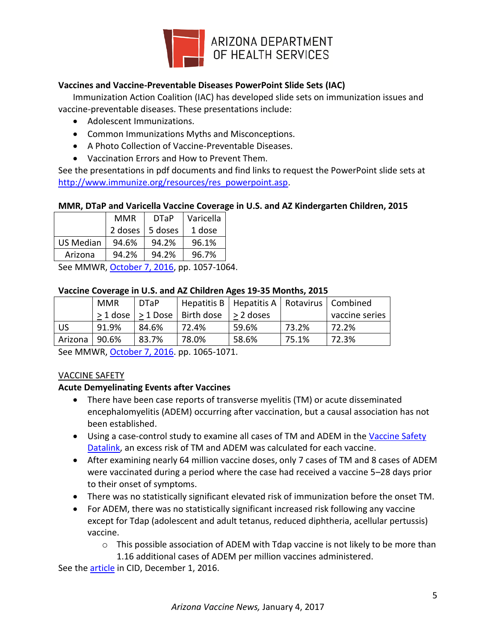

# **Vaccines and Vaccine-Preventable Diseases PowerPoint Slide Sets (IAC)**

Immunization Action Coalition (IAC) has developed slide sets on immunization issues and vaccine-preventable diseases. These presentations include:

- Adolescent Immunizations.
- Common Immunizations Myths and Misconceptions.
- A Photo Collection of Vaccine-Preventable Diseases.
- Vaccination Errors and How to Prevent Them.

See the presentations in pdf documents and find links to request the PowerPoint slide sets at [http://www.immunize.org/resources/res\\_powerpoint.asp.](http://www.immunize.org/resources/res_powerpoint.asp)

### **MMR, DTaP and Varicella Vaccine Coverage in U.S. and AZ Kindergarten Children, 2015**

|           | <b>MMR</b> | <b>DTaP</b> | Varicella |  |
|-----------|------------|-------------|-----------|--|
|           | 2 doses    | 5 doses     | 1 dose    |  |
| US Median | 94.6%      | 94.2%       | 96.1%     |  |
| Arizona   | 94.2%      | 94.2%       | 96.7%     |  |

See MMWR, [October 7, 2016,](http://www.cdc.gov/mmwr/volumes/65/wr/mm6539a3.htm?s_cid=mm6539a3_w) pp. 1057-1064.

### **Vaccine Coverage in U.S. and AZ Children Ages 19-35 Months, 2015**

|         | <b>MMR</b> | <b>DTaP</b> |                                                    | Hepatitis B   Hepatitis A   Rotavirus   Combined |       |                |
|---------|------------|-------------|----------------------------------------------------|--------------------------------------------------|-------|----------------|
|         |            |             | $>$ 1 dose $ >$ 1 Dose $ $ Birth dose $ >$ 2 doses |                                                  |       | vaccine series |
| US.     | 91.9%      | 84.6%       | 72.4%                                              | 59.6%                                            | 73.2% | 72.2%          |
| Arizona | 90.6%      | 83.7%       | 78.0%                                              | 58.6%                                            | 75.1% | 72.3%          |

See MMWR, [October 7, 2016.](http://www.cdc.gov/mmwr/volumes/65/wr/mm6539a4.htm?s_cid=mm6539a4_w) pp. 1065-1071.

## VACCINE SAFETY

## **Acute Demyelinating Events after Vaccines**

- There have been case reports of transverse myelitis (TM) or acute disseminated encephalomyelitis (ADEM) occurring after vaccination, but a causal association has not been established.
- Using a case-control study to examine all cases of TM and ADEM in the Vaccine Safety [Datalink,](http://www.cdc.gov/vaccinesafety/ensuringsafety/monitoring/vsd/index.html) an excess risk of TM and ADEM was calculated for each vaccine.
- After examining nearly 64 million vaccine doses, only 7 cases of TM and 8 cases of ADEM were vaccinated during a period where the case had received a vaccine 5–28 days prior to their onset of symptoms.
- There was no statistically significant elevated risk of immunization before the onset TM.
- For ADEM, there was no statistically significant increased risk following any vaccine except for Tdap (adolescent and adult tetanus, reduced diphtheria, acellular pertussis) vaccine.
	- $\circ$  This possible association of ADEM with Tdap vaccine is not likely to be more than 1.16 additional cases of ADEM per million vaccines administered.

See the **article** in CID, December 1, 2016.